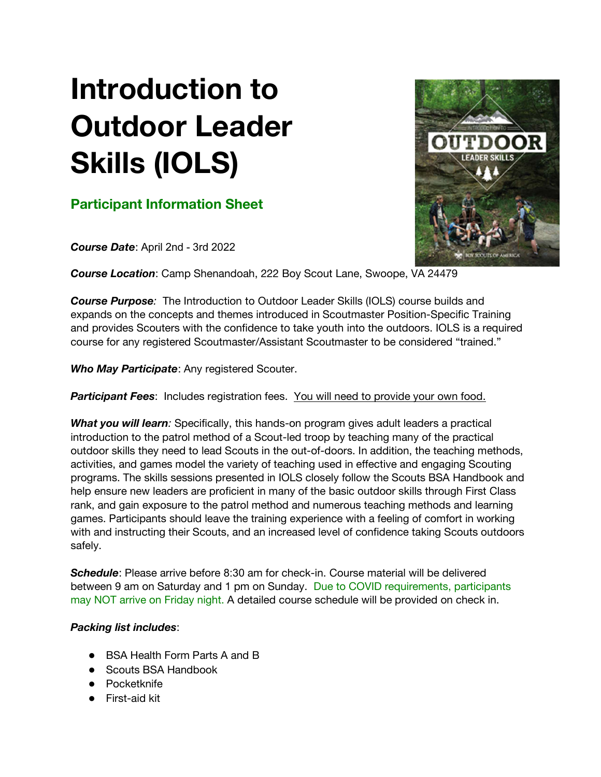## Introduction to Outdoor Leader Skills (IOLS)

## Participant Information Sheet

Course Date: April 2nd - 3rd 2022

Course Location: Camp Shenandoah, 222 Boy Scout Lane, Swoope, VA 24479

**Course Purpose:** The Introduction to Outdoor Leader Skills (IOLS) course builds and expands on the concepts and themes introduced in Scoutmaster Position-Specific Training and provides Scouters with the confidence to take youth into the outdoors. IOLS is a required course for any registered Scoutmaster/Assistant Scoutmaster to be considered "trained."

Who May Participate: Any registered Scouter.

Participant Fees: Includes registration fees. You will need to provide your own food.

What you will learn: Specifically, this hands-on program gives adult leaders a practical introduction to the patrol method of a Scout-led troop by teaching many of the practical outdoor skills they need to lead Scouts in the out-of-doors. In addition, the teaching methods, activities, and games model the variety of teaching used in effective and engaging Scouting programs. The skills sessions presented in IOLS closely follow the Scouts BSA Handbook and help ensure new leaders are proficient in many of the basic outdoor skills through First Class rank, and gain exposure to the patrol method and numerous teaching methods and learning games. Participants should leave the training experience with a feeling of comfort in working with and instructing their Scouts, and an increased level of confidence taking Scouts outdoors safely.

Schedule: Please arrive before 8:30 am for check-in. Course material will be delivered between 9 am on Saturday and 1 pm on Sunday. Due to COVID requirements, participants may NOT arrive on Friday night. A detailed course schedule will be provided on check in.

## Packing list includes:

- BSA Health Form Parts A and B
- Scouts BSA Handbook
- Pocketknife
- First-aid kit